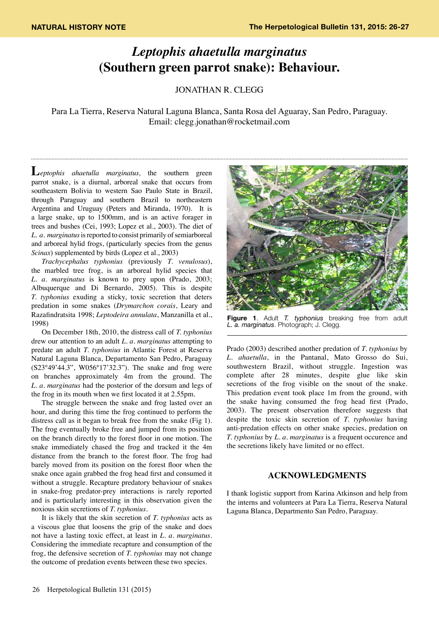## *Leptophis ahaetulla marginatus*  **(Southern green parrot snake): Behaviour.**

Jonathan R. Clegg

Para La Tierra, Reserva Natural Laguna Blanca, Santa Rosa del Aguaray, San Pedro, Paraguay. Email: clegg.jonathan@rocketmail.com

**L***eptophis ahaetulla marginatus,* the southern green parrot snake, is a diurnal, arboreal snake that occurs from southeastern Bolivia to western Sao Paulo State in Brazil, through Paraguay and southern Brazil to northeastern Argentina and Uruguay (Peters and Miranda, 1970). It is a large snake, up to 1500mm, and is an active forager in trees and bushes (Cei, 1993; Lopez et al., 2003). The diet of *L. a. marginatus* is reported to consist primarily of semiarboreal and arboreal hylid frogs, (particularly species from the genus *Scinax*) supplemented by birds (Lopez et al., 2003)

*Trachycephalus typhonius* (previously *T. venulosus*), the marbled tree frog, is an arboreal hylid species that *L. a. marginatus* is known to prey upon (Prado, 2003; Albuquerque and Di Bernardo, 2005). This is despite *T. typhonius* exuding a sticky, toxic secretion that deters predation in some snakes (*Drymarchon corais*, Leary and Razafindratsita 1998; *Leptodeira annulata*, Manzanilla et al., 1998)

On December 18th, 2010, the distress call of *T. typhonius* drew our attention to an adult *L. a. marginatus* attempting to predate an adult *T. typhonius* in Atlantic Forest at Reserva Natural Laguna Blanca, Departamento San Pedro, Paraguay (S23°49'44.3", W056°17'32.3"). The snake and frog were on branches approximately 4m from the ground. The *L. a. marginatus* had the posterior of the dorsum and legs of the frog in its mouth when we first located it at 2.55pm.

The struggle between the snake and frog lasted over an hour, and during this time the frog continued to perform the distress call as it began to break free from the snake (Fig 1). The frog eventually broke free and jumped from its position on the branch directly to the forest floor in one motion. The snake immediately chased the frog and tracked it the 4m distance from the branch to the forest floor. The frog had barely moved from its position on the forest floor when the snake once again grabbed the frog head first and consumed it without a struggle. Recapture predatory behaviour of snakes in snake-frog predator-prey interactions is rarely reported and is particularly interesting in this observation given the noxious skin secretions of *T. typhonius*.

It is likely that the skin secretion of *T. typhonius* acts as a viscous glue that loosens the grip of the snake and does not have a lasting toxic effect, at least in *L. a. marginatus*. Considering the immediate recapture and consumption of the frog, the defensive secretion of *T. typhonius* may not change the outcome of predation events between these two species.



**Figure 1**. Adult *T. typhonius* breaking free from adult *L. a. marginatus*. Photograph; J. Clegg.

Prado (2003) described another predation of *T. typhonius* by *L. ahaetulla*, in the Pantanal, Mato Grosso do Sui, southwestern Brazil, without struggle. Ingestion was complete after 28 minutes, despite glue like skin secretions of the frog visible on the snout of the snake. This predation event took place 1m from the ground, with the snake having consumed the frog head first (Prado, 2003). The present observation therefore suggests that despite the toxic skin secretion of *T. typhonius* having anti-predation effects on other snake species, predation on *T. typhonius* by *L. a. marginatus* is a frequent occurence and the secretions likely have limited or no effect.

## **ACKNOWLEDGMENTS**

I thank logistic support from Karina Atkinson and help from the interns and volunteers at Para La Tierra, Reserva Natural Laguna Blanca, Departmento San Pedro, Paraguay.